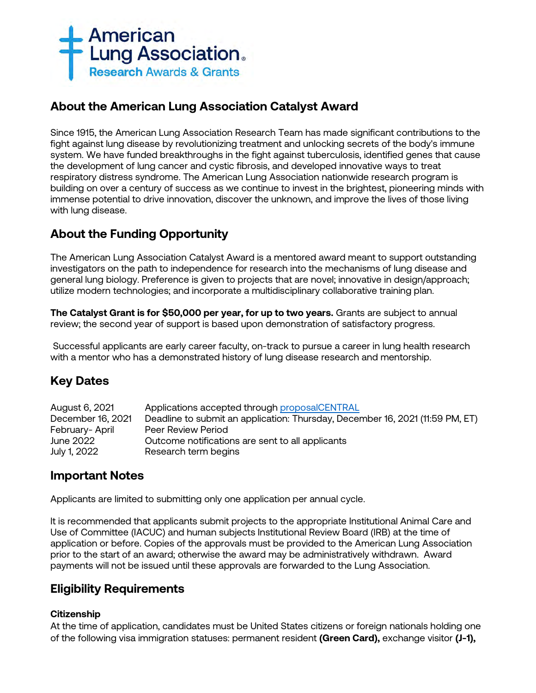

# **About the American Lung Association Catalyst Award**

Since 1915, the American Lung Association Research Team has made significant contributions to the fight against lung disease by revolutionizing treatment and unlocking secrets of the body's immune system. We have funded breakthroughs in the fight against tuberculosis, identified genes that cause the development of lung cancer and cystic fibrosis, and developed innovative ways to treat respiratory distress syndrome. The American Lung Association nationwide research program is building on over a century of success as we continue to invest in the brightest, pioneering minds with immense potential to drive innovation, discover the unknown, and improve the lives of those living with lung disease.

# **About the Funding Opportunity**

The American Lung Association Catalyst Award is a mentored award meant to support outstanding investigators on the path to independence for research into the mechanisms of lung disease and general lung biology. Preference is given to projects that are novel; innovative in design/approach; utilize modern technologies; and incorporate a multidisciplinary collaborative training plan.

**The Catalyst Grant is for \$50,000 per year, for up to two years.** Grants are subject to annual review; the second year of support is based upon demonstration of satisfactory progress.

Successful applicants are early career faculty, on-track to pursue a career in lung health research with a mentor who has a demonstrated history of lung disease research and mentorship.

# **Key Dates**

| August 6, 2021    | Applications accepted through proposalCENTRAL                                 |
|-------------------|-------------------------------------------------------------------------------|
| December 16, 2021 | Deadline to submit an application: Thursday, December 16, 2021 (11:59 PM, ET) |
| February-April    | Peer Review Period                                                            |
| June 2022         | Outcome notifications are sent to all applicants                              |
| July 1, 2022      | Research term begins                                                          |

# **Important Notes**

Applicants are limited to submitting only one application per annual cycle.

It is recommended that applicants submit projects to the appropriate Institutional Animal Care and Use of Committee (IACUC) and human subjects Institutional Review Board (IRB) at the time of application or before. Copies of the approvals must be provided to the American Lung Association prior to the start of an award; otherwise the award may be administratively withdrawn. Award payments will not be issued until these approvals are forwarded to the Lung Association.

# **Eligibility Requirements**

## **Citizenship**

At the time of application, candidates must be United States citizens or foreign nationals holding one of the following visa immigration statuses: permanent resident **(Green Card),** exchange visitor **(J-1),**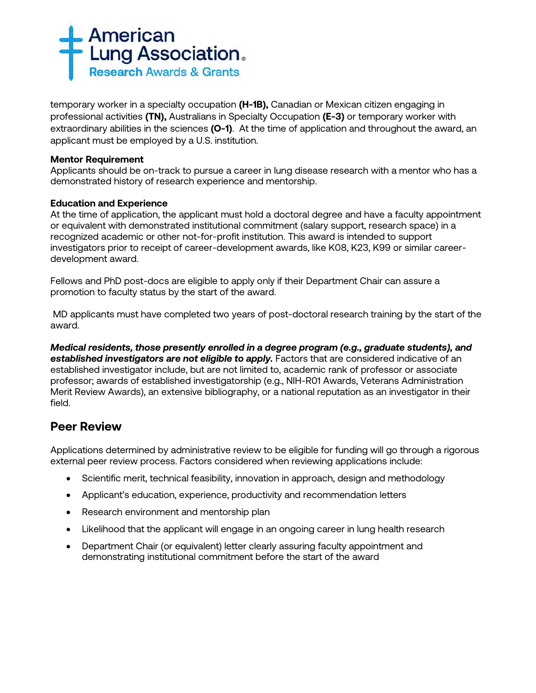

temporary worker in a specialty occupation **(H-1B),** Canadian or Mexican citizen engaging in professional activities **(TN),** Australians in Specialty Occupation **(E-3)** or temporary worker with extraordinary abilities in the sciences **(O-1)**. At the time of application and throughout the award, an applicant must be employed by a U.S. institution.

## **Mentor Requirement**

Applicants should be on-track to pursue a career in lung disease research with a mentor who has a demonstrated history of research experience and mentorship.

## **Education and Experience**

At the time of application, the applicant must hold a doctoral degree and have a faculty appointment or equivalent with demonstrated institutional commitment (salary support, research space) in a recognized academic or other not-for-profit institution. This award is intended to support investigators prior to receipt of career-development awards, like K08, K23, K99 or similar careerdevelopment award.

Fellows and PhD post-docs are eligible to apply only if their Department Chair can assure a promotion to faculty status by the start of the award.

MD applicants must have completed two years of post-doctoral research training by the start of the award.

*Medical residents, those presently enrolled in a degree program (e.g., graduate students), and established investigators are not eligible to apply.* Factors that are considered indicative of an established investigator include, but are not limited to, academic rank of professor or associate professor; awards of established investigatorship (e.g., NIH-R01 Awards, Veterans Administration Merit Review Awards), an extensive bibliography, or a national reputation as an investigator in their field.

# **Peer Review**

Applications determined by administrative review to be eligible for funding will go through a rigorous external peer review process. Factors considered when reviewing applications include:

- Scientific merit, technical feasibility, innovation in approach, design and methodology
- Applicant's education, experience, productivity and recommendation letters
- Research environment and mentorship plan
- Likelihood that the applicant will engage in an ongoing career in lung health research
- Department Chair (or equivalent) letter clearly assuring faculty appointment and demonstrating institutional commitment before the start of the award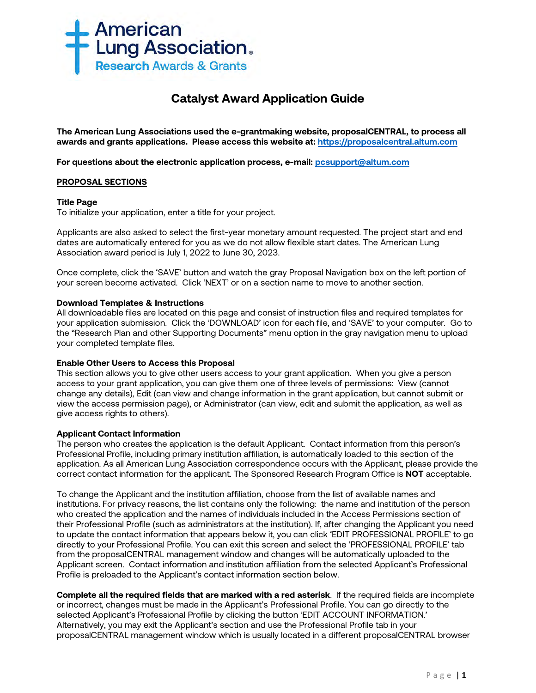

# **Catalyst Award Application Guide**

**The American Lung Associations used the e-grantmaking website, proposalCENTRAL, to process all awards and grants applications. Please access this website at: [https://proposalcentral.altum.com](https://proposalcentral.altum.com/)**

**For questions about the electronic application process, e-mail: [pcsupport@altum.com](mailto:PCSUPPORT@ALTUM.COM)** 

### **PROPOSAL SECTIONS**

#### **Title Page**

To initialize your application, enter a title for your project.

Applicants are also asked to select the first-year monetary amount requested. The project start and end dates are automatically entered for you as we do not allow flexible start dates. The American Lung Association award period is July 1, 2022 to June 30, 2023.

Once complete, click the 'SAVE' button and watch the gray Proposal Navigation box on the left portion of your screen become activated. Click 'NEXT' or on a section name to move to another section.

### **Download Templates & Instructions**

All downloadable files are located on this page and consist of instruction files and required templates for your application submission. Click the 'DOWNLOAD' icon for each file, and 'SAVE' to your computer*.* Go to the "Research Plan and other Supporting Documents" menu option in the gray navigation menu to upload your completed template files.

## **Enable Other Users to Access this Proposal**

This section allows you to give other users access to your grant application. When you give a person access to your grant application, you can give them one of three levels of permissions: View (cannot change any details), Edit (can view and change information in the grant application, but cannot submit or view the access permission page), or Administrator (can view, edit and submit the application, as well as give access rights to others).

#### **Applicant Contact Information**

The person who creates the application is the default Applicant. Contact information from this person's Professional Profile, including primary institution affiliation, is automatically loaded to this section of the application. As all American Lung Association correspondence occurs with the Applicant, please provide the correct contact information for the applicant. The Sponsored Research Program Office is **NOT** acceptable.

To change the Applicant and the institution affiliation, choose from the list of available names and institutions. For privacy reasons, the list contains only the following: the name and institution of the person who created the application and the names of individuals included in the Access Permissions section of their Professional Profile (such as administrators at the institution). If, after changing the Applicant you need to update the contact information that appears below it, you can click 'EDIT PROFESSIONAL PROFILE' to go directly to your Professional Profile. You can exit this screen and select the 'PROFESSIONAL PROFILE' tab from the proposalCENTRAL management window and changes will be automatically uploaded to the Applicant screen. Contact information and institution affiliation from the selected Applicant's Professional Profile is preloaded to the Applicant's contact information section below.

**Complete all the required fields that are marked with a red asterisk**.If the required fields are incomplete or incorrect, changes must be made in the Applicant's Professional Profile. You can go directly to the selected Applicant's Professional Profile by clicking the button 'EDIT ACCOUNT INFORMATION.' Alternatively, you may exit the Applicant's section and use the Professional Profile tab in your proposalCENTRAL management window which is usually located in a different proposalCENTRAL browser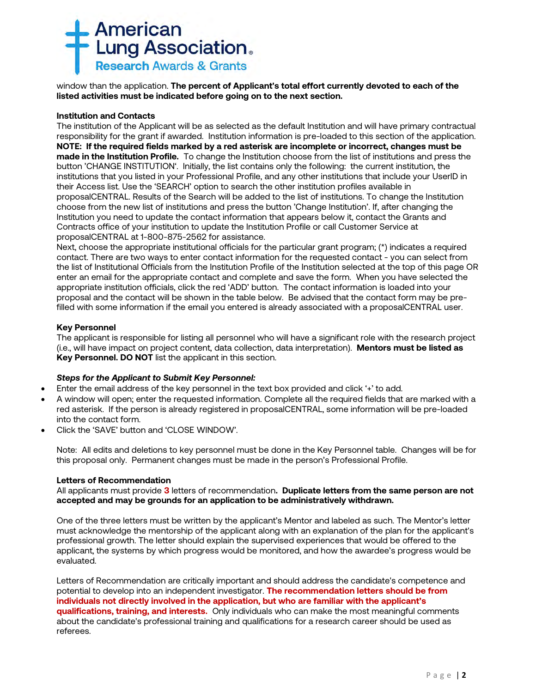

window than the application. **The percent of Applicant's total effort currently devoted to each of the listed activities must be indicated before going on to the next section.**

#### **Institution and Contacts**

The institution of the Applicant will be as selected as the default Institution and will have primary contractual responsibility for the grant if awarded. Institution information is pre-loaded to this section of the application. **NOTE: If the required fields marked by a red asterisk are incomplete or incorrect, changes must be made in the Institution Profile.** To change the Institution choose from the list of institutions and press the button 'CHANGE INSTITUTION'. Initially, the list contains only the following: the current institution, the institutions that you listed in your Professional Profile, and any other institutions that include your UserID in their Access list. Use the 'SEARCH' option to search the other institution profiles available in proposalCENTRAL. Results of the Search will be added to the list of institutions. To change the Institution choose from the new list of institutions and press the button 'Change Institution'. If, after changing the Institution you need to update the contact information that appears below it, contact the Grants and Contracts office of your institution to update the Institution Profile or call Customer Service at proposalCENTRAL at 1-800-875-2562 for assistance.

Next, choose the appropriate institutional officials for the particular grant program; (\*) indicates a required contact. There are two ways to enter contact information for the requested contact - you can select from the list of Institutional Officials from the Institution Profile of the Institution selected at the top of this page OR enter an email for the appropriate contact and complete and save the form. When you have selected the appropriate institution officials, click the red 'ADD' button. The contact information is loaded into your proposal and the contact will be shown in the table below. Be advised that the contact form may be prefilled with some information if the email you entered is already associated with a proposalCENTRAL user.

### **Key Personnel**

The applicant is responsible for listing all personnel who will have a significant role with the research project (i.e., will have impact on project content, data collection, data interpretation). **Mentors must be listed as Key Personnel. DO NOT** list the applicant in this section.

## *Steps for the Applicant to Submit Key Personnel:*

- Enter the email address of the key personnel in the text box provided and click '+' to add.
- A window will open; enter the requested information. Complete all the required fields that are marked with a red asterisk. If the person is already registered in proposalCENTRAL, some information will be pre-loaded into the contact form.
- Click the 'SAVE' button and 'CLOSE WINDOW'.

Note: All edits and deletions to key personnel must be done in the Key Personnel table. Changes will be for this proposal only. Permanent changes must be made in the person's Professional Profile.

#### **Letters of Recommendation**

All applicants must provide **3** letters of recommendation**. Duplicate letters from the same person are not accepted and may be grounds for an application to be administratively withdrawn.** 

One of the three letters must be written by the applicant's Mentor and labeled as such. The Mentor's letter must acknowledge the mentorship of the applicant along with an explanation of the plan for the applicant's professional growth. The letter should explain the supervised experiences that would be offered to the applicant, the systems by which progress would be monitored, and how the awardee's progress would be evaluated.

Letters of Recommendation are critically important and should address the candidate's competence and potential to develop into an independent investigator. **The recommendation letters should be from individuals not directly involved in the application, but who are familiar with the applicant's qualifications, training, and interests.** Only individuals who can make the most meaningful comments about the candidate's professional training and qualifications for a research career should be used as referees.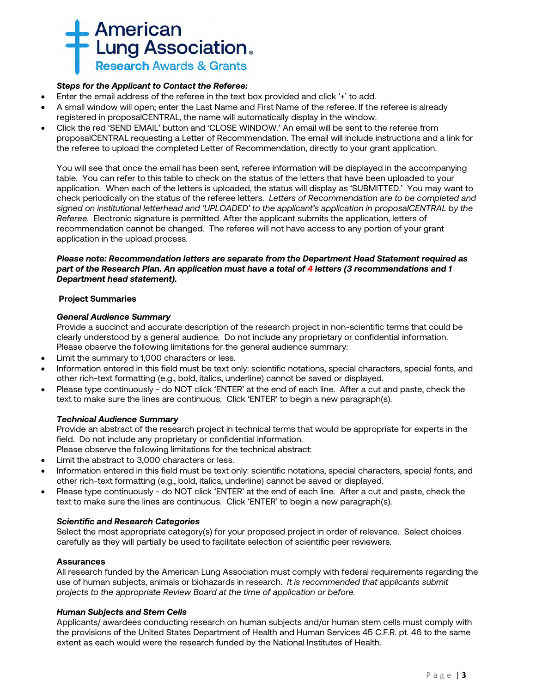

## *Steps for the Applicant to Contact the Referee:*

- Enter the email address of the referee in the text box provided and click '+' to add.
- A small window will open; enter the Last Name and First Name of the referee. If the referee is already registered in proposalCENTRAL, the name will automatically display in the window.
- Click the red 'SEND EMAIL' button and 'CLOSE WINDOW.' An email will be sent to the referee from proposalCENTRAL requesting a Letter of Recommendation. The email will include instructions and a link for the referee to upload the completed Letter of Recommendation, directly to your grant application.

You will see that once the email has been sent, referee information will be displayed in the accompanying table. You can refer to this table to check on the status of the letters that have been uploaded to your application. When each of the letters is uploaded, the status will display as 'SUBMITTED.' You may want to check periodically on the status of the referee letters. *Letters of Recommendation are to be completed and signed on institutional letterhead and 'UPLOADED' to the applicant's application in proposalCENTRAL by the Referee.* Electronic signature is permitted. After the applicant submits the application, letters of recommendation cannot be changed. The referee will not have access to any portion of your grant application in the upload process.

## *Please note: Recommendation letters are separate from the Department Head Statement required as part of the Research Plan. An application must have a total of 4 letters (3 recommendations and 1 Department head statement).*

## **Project Summaries**

## *General Audience Summary*

Provide a succinct and accurate description of the research project in non-scientific terms that could be clearly understood by a general audience. Do not include any proprietary or confidential information. Please observe the following limitations for the general audience summary:

- Limit the summary to 1,000 characters or less.
- Information entered in this field must be text only: scientific notations, special characters, special fonts, and other rich-text formatting (e.g., bold, italics, underline) cannot be saved or displayed.
- Please type continuously do NOT click 'ENTER' at the end of each line. After a cut and paste, check the text to make sure the lines are continuous. Click 'ENTER' to begin a new paragraph(s).

## *Technical Audience Summary*

Provide an abstract of the research project in technical terms that would be appropriate for experts in the field. Do not include any proprietary or confidential information.

Please observe the following limitations for the technical abstract:

- Limit the abstract to 3,000 characters or less.
- Information entered in this field must be text only: scientific notations, special characters, special fonts, and other rich-text formatting (e.g., bold, italics, underline) cannot be saved or displayed.
- Please type continuously do NOT click 'ENTER' at the end of each line. After a cut and paste, check the text to make sure the lines are continuous. Click 'ENTER' to begin a new paragraph(s).

## *Scientific and Research Categories*

Select the most appropriate category(s) for your proposed project in order of relevance. Select choices carefully as they will partially be used to facilitate selection of scientific peer reviewers.

## **Assurances**

All research funded by the American Lung Association must comply with federal requirements regarding the use of human subjects, animals or biohazards in research. *It is recommended that applicants submit projects to the appropriate Review Board at the time of application or before.* 

## *Human Subjects and Stem Cells*

Applicants/ awardees conducting research on human subjects and/or human stem cells must comply with the provisions of the United States Department of Health and Human Services 45 C.F.R. pt. 46 to the same extent as each would were the research funded by the National Institutes of Health.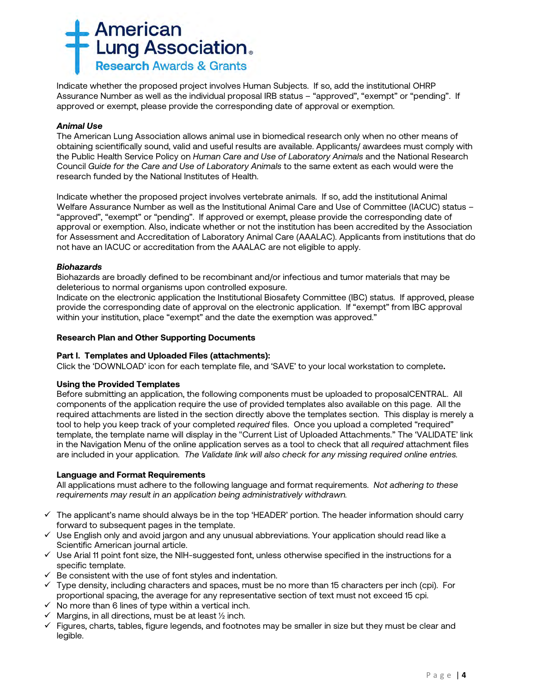

Indicate whether the proposed project involves Human Subjects. If so, add the institutional OHRP Assurance Number as well as the individual proposal IRB status – "approved", "exempt" or "pending". If approved or exempt, please provide the corresponding date of approval or exemption.

## *Animal Use*

The American Lung Association allows animal use in biomedical research only when no other means of obtaining scientifically sound, valid and useful results are available. Applicants/ awardees must comply with the Public Health Service Policy on *Human Care and Use of Laboratory Animals* and the National Research Council *Guide for the Care and Use of Laboratory Animals* to the same extent as each would were the research funded by the National Institutes of Health.

Indicate whether the proposed project involves vertebrate animals. If so, add the institutional Animal Welfare Assurance Number as well as the Institutional Animal Care and Use of Committee (IACUC) status – "approved", "exempt" or "pending". If approved or exempt, please provide the corresponding date of approval or exemption. Also, indicate whether or not the institution has been accredited by the Association for Assessment and Accreditation of Laboratory Animal Care (AAALAC). Applicants from institutions that do not have an IACUC or accreditation from the AAALAC are not eligible to apply.

#### *Biohazards*

Biohazards are broadly defined to be recombinant and/or infectious and tumor materials that may be deleterious to normal organisms upon controlled exposure.

Indicate on the electronic application the Institutional Biosafety Committee (IBC) status. If approved, please provide the corresponding date of approval on the electronic application. If "exempt" from IBC approval within your institution, place "exempt" and the date the exemption was approved."

### **Research Plan and Other Supporting Documents**

## **Part I. Templates and Uploaded Files (attachments):**

Click the 'DOWNLOAD' icon for each template file, and 'SAVE' to your local workstation to complete**.**

#### **Using the Provided Templates**

Before submitting an application, the following components must be uploaded to proposalCENTRAL. All components of the application require the use of provided templates also available on this page. All the required attachments are listed in the section directly above the templates section. This display is merely a tool to help you keep track of your completed *required* files. Once you upload a completed "required" template, the template name will display in the "Current List of Uploaded Attachments." The 'VALIDATE' link in the Navigation Menu of the online application serves as a tool to check that all *required* attachment files are included in your application. *The Validate link will also check for any missing required online entries.*

## **Language and Format Requirements**

All applications must adhere to the following language and format requirements. *Not adhering to these requirements may result in an application being administratively withdrawn.*

- $\checkmark$  The applicant's name should always be in the top 'HEADER' portion. The header information should carry forward to subsequent pages in the template.
- $\checkmark$  Use English only and avoid jargon and any unusual abbreviations. Your application should read like a Scientific American journal article.
- $\checkmark$  Use Arial 11 point font size, the NIH-suggested font, unless otherwise specified in the instructions for a specific template.
- $\checkmark$  Be consistent with the use of font styles and indentation.
- $\checkmark$  Type density, including characters and spaces, must be no more than 15 characters per inch (cpi). For proportional spacing, the average for any representative section of text must not exceed 15 cpi.
- $\checkmark$  No more than 6 lines of type within a vertical inch.
- $\checkmark$  Margins, in all directions, must be at least  $\frac{1}{2}$  inch.
- $\checkmark$  Figures, charts, tables, figure legends, and footnotes may be smaller in size but they must be clear and legible.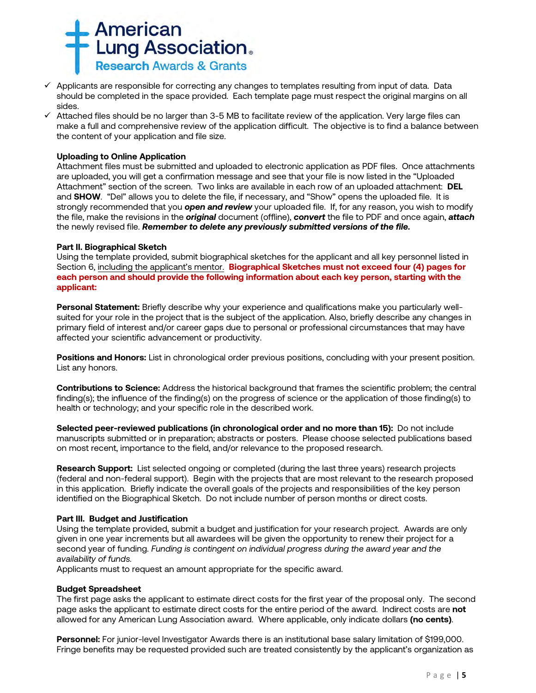

- $\checkmark$  Applicants are responsible for correcting any changes to templates resulting from input of data. Data should be completed in the space provided. Each template page must respect the original margins on all sides.
- $\checkmark$  Attached files should be no larger than 3-5 MB to facilitate review of the application. Very large files can make a full and comprehensive review of the application difficult. The objective is to find a balance between the content of your application and file size.

## **Uploading to Online Application**

Attachment files must be submitted and uploaded to electronic application as PDF files. Once attachments are uploaded, you will get a confirmation message and see that your file is now listed in the "Uploaded Attachment" section of the screen. Two links are available in each row of an uploaded attachment: **DEL** and **SHOW**. "Del" allows you to delete the file, if necessary, and "Show" opens the uploaded file. It is strongly recommended that you *open and review* your uploaded file. If, for any reason, you wish to modify the file, make the revisions in the *original* document (offline), *convert* the file to PDF and once again, *attach* the newly revised file. *Remember to delete any previously submitted versions of the file.*

#### **Part II. Biographical Sketch**

Using the template provided, submit biographical sketches for the applicant and all key personnel listed in Section 6, including the applicant's mentor. **Biographical Sketches must not exceed four (4) pages for each person and should provide the following information about each key person, starting with the applicant:**

**Personal Statement:** Briefly describe why your experience and qualifications make you particularly wellsuited for your role in the project that is the subject of the application. Also, briefly describe any changes in primary field of interest and/or career gaps due to personal or professional circumstances that may have affected your scientific advancement or productivity.

**Positions and Honors:** List in chronological order previous positions, concluding with your present position. List any honors.

**Contributions to Science:** Address the historical background that frames the scientific problem; the central finding(s); the influence of the finding(s) on the progress of science or the application of those finding(s) to health or technology; and your specific role in the described work.

**Selected peer-reviewed publications (in chronological order and no more than 15):** Do not include manuscripts submitted or in preparation; abstracts or posters. Please choose selected publications based on most recent, importance to the field, and/or relevance to the proposed research.

**Research Support:** List selected ongoing or completed (during the last three years) research projects (federal and non-federal support). Begin with the projects that are most relevant to the research proposed in this application. Briefly indicate the overall goals of the projects and responsibilities of the key person identified on the Biographical Sketch. Do not include number of person months or direct costs.

#### **Part III. Budget and Justification**

Using the template provided, submit a budget and justification for your research project. Awards are only given in one year increments but all awardees will be given the opportunity to renew their project for a second year of funding. *Funding is contingent on individual progress during the award year and the availability of funds.*

Applicants must to request an amount appropriate for the specific award.

#### **Budget Spreadsheet**

The first page asks the applicant to estimate direct costs for the first year of the proposal only. The second page asks the applicant to estimate direct costs for the entire period of the award. Indirect costs are **not** allowed for any American Lung Association award. Where applicable, only indicate dollars **(no cents)**.

**Personnel:** For junior-level Investigator Awards there is an institutional base salary limitation of \$199,000. Fringe benefits may be requested provided such are treated consistently by the applicant's organization as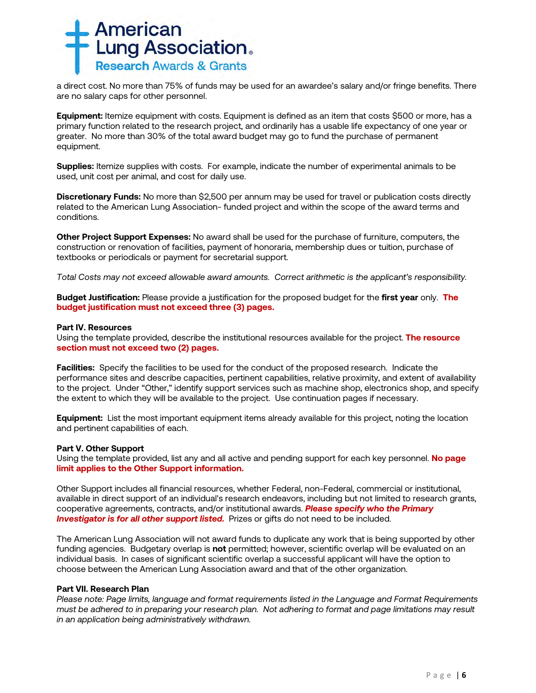

a direct cost. No more than 75% of funds may be used for an awardee's salary and/or fringe benefits. There are no salary caps for other personnel.

**Equipment:** Itemize equipment with costs. Equipment is defined as an item that costs \$500 or more, has a primary function related to the research project, and ordinarily has a usable life expectancy of one year or greater. No more than 30% of the total award budget may go to fund the purchase of permanent equipment.

**Supplies:** Itemize supplies with costs. For example, indicate the number of experimental animals to be used, unit cost per animal, and cost for daily use.

**Discretionary Funds:** No more than \$2,500 per annum may be used for travel or publication costs directly related to the American Lung Association- funded project and within the scope of the award terms and conditions.

**Other Project Support Expenses:** No award shall be used for the purchase of furniture, computers, the construction or renovation of facilities, payment of honoraria, membership dues or tuition, purchase of textbooks or periodicals or payment for secretarial support.

*Total Costs may not exceed allowable award amounts. Correct arithmetic is the applicant's responsibility.*

**Budget Justification:** Please provide a justification for the proposed budget for the **first year** only. **The budget justification must not exceed three (3) pages.** 

#### **Part IV. Resources**

Using the template provided, describe the institutional resources available for the project. **The resource section must not exceed two (2) pages.**

**Facilities:** Specify the facilities to be used for the conduct of the proposed research. Indicate the performance sites and describe capacities, pertinent capabilities, relative proximity, and extent of availability to the project. Under "Other," identify support services such as machine shop, electronics shop, and specify the extent to which they will be available to the project. Use continuation pages if necessary.

**Equipment:** List the most important equipment items already available for this project, noting the location and pertinent capabilities of each.

#### **Part V. Other Support**

Using the template provided, list any and all active and pending support for each key personnel. **No page limit applies to the Other Support information.**

Other Support includes all financial resources, whether Federal, non-Federal, commercial or institutional, available in direct support of an individual's research endeavors, including but not limited to research grants, cooperative agreements, contracts, and/or institutional awards. *Please specify who the Primary*  **Investigator is for all other support listed.** Prizes or gifts do not need to be included.

The American Lung Association will not award funds to duplicate any work that is being supported by other funding agencies. Budgetary overlap is **not** permitted; however, scientific overlap will be evaluated on an individual basis. In cases of significant scientific overlap a successful applicant will have the option to choose between the American Lung Association award and that of the other organization.

#### **Part VII. Research Plan**

*Please note: Page limits, language and format requirements listed in the Language and Format Requirements must be adhered to in preparing your research plan. Not adhering to format and page limitations may result in an application being administratively withdrawn.*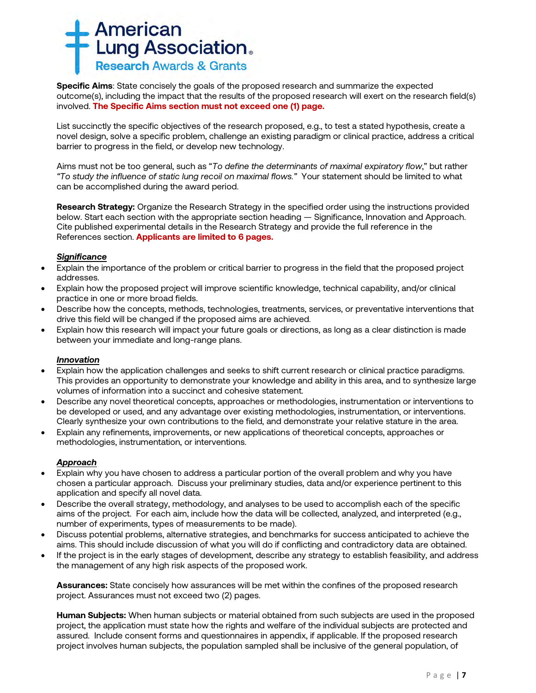

**Specific Aims**: State concisely the goals of the proposed research and summarize the expected outcome(s), including the impact that the results of the proposed research will exert on the research field(s) involved. **The Specific Aims section must not exceed one (1) page.**

List succinctly the specific objectives of the research proposed, e.g., to test a stated hypothesis, create a novel design, solve a specific problem, challenge an existing paradigm or clinical practice, address a critical barrier to progress in the field, or develop new technology.

Aims must not be too general, such as "*To define the determinants of maximal expiratory flow*," but rather *"To study the influence of static lung recoil on maximal flows."* Your statement should be limited to what can be accomplished during the award period.

**Research Strategy:** Organize the Research Strategy in the specified order using the instructions provided below. Start each section with the appropriate section heading — Significance, Innovation and Approach. Cite published experimental details in the Research Strategy and provide the full reference in the References section. **Applicants are limited to 6 pages.**

## *Significance*

- Explain the importance of the problem or critical barrier to progress in the field that the proposed project addresses.
- Explain how the proposed project will improve scientific knowledge, technical capability, and/or clinical practice in one or more broad fields.
- Describe how the concepts, methods, technologies, treatments, services, or preventative interventions that drive this field will be changed if the proposed aims are achieved.
- Explain how this research will impact your future goals or directions, as long as a clear distinction is made between your immediate and long-range plans.

#### *Innovation*

- Explain how the application challenges and seeks to shift current research or clinical practice paradigms. This provides an opportunity to demonstrate your knowledge and ability in this area, and to synthesize large volumes of information into a succinct and cohesive statement.
- Describe any novel theoretical concepts, approaches or methodologies, instrumentation or interventions to be developed or used, and any advantage over existing methodologies, instrumentation, or interventions. Clearly synthesize your own contributions to the field, and demonstrate your relative stature in the area.
- Explain any refinements, improvements, or new applications of theoretical concepts, approaches or methodologies, instrumentation, or interventions.

## *Approach*

- Explain why you have chosen to address a particular portion of the overall problem and why you have chosen a particular approach. Discuss your preliminary studies, data and/or experience pertinent to this application and specify all novel data.
- Describe the overall strategy, methodology, and analyses to be used to accomplish each of the specific aims of the project. For each aim, include how the data will be collected, analyzed, and interpreted (e.g., number of experiments, types of measurements to be made).
- Discuss potential problems, alternative strategies, and benchmarks for success anticipated to achieve the aims. This should include discussion of what you will do if conflicting and contradictory data are obtained.
- If the project is in the early stages of development, describe any strategy to establish feasibility, and address the management of any high risk aspects of the proposed work.

**Assurances:** State concisely how assurances will be met within the confines of the proposed research project. Assurances must not exceed two (2) pages.

**Human Subjects:** When human subjects or material obtained from such subjects are used in the proposed project, the application must state how the rights and welfare of the individual subjects are protected and assured. Include consent forms and questionnaires in appendix, if applicable. If the proposed research project involves human subjects, the population sampled shall be inclusive of the general population, of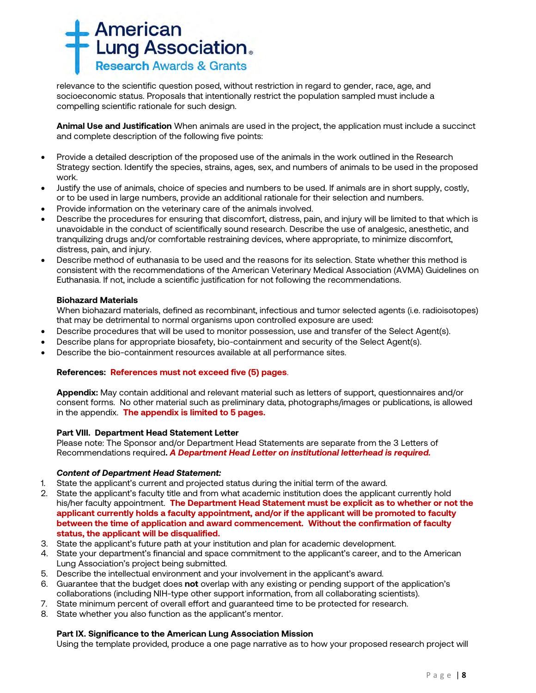

relevance to the scientific question posed, without restriction in regard to gender, race, age, and socioeconomic status. Proposals that intentionally restrict the population sampled must include a compelling scientific rationale for such design.

**Animal Use and Justification** When animals are used in the project, the application must include a succinct and complete description of the following five points:

- Provide a detailed description of the proposed use of the animals in the work outlined in the Research Strategy section. Identify the species, strains, ages, sex, and numbers of animals to be used in the proposed work.
- Justify the use of animals, choice of species and numbers to be used. If animals are in short supply, costly, or to be used in large numbers, provide an additional rationale for their selection and numbers.
- Provide information on the veterinary care of the animals involved.
- Describe the procedures for ensuring that discomfort, distress, pain, and injury will be limited to that which is unavoidable in the conduct of scientifically sound research. Describe the use of analgesic, anesthetic, and tranquilizing drugs and/or comfortable restraining devices, where appropriate, to minimize discomfort, distress, pain, and injury.
- Describe method of euthanasia to be used and the reasons for its selection. State whether this method is consistent with the recommendations of the American Veterinary Medical Association (AVMA) Guidelines on Euthanasia. If not, include a scientific justification for not following the recommendations.

### **Biohazard Materials**

When biohazard materials, defined as recombinant, infectious and tumor selected agents (i.e. radioisotopes) that may be detrimental to normal organisms upon controlled exposure are used:

- Describe procedures that will be used to monitor possession, use and transfer of the Select Agent(s).
- Describe plans for appropriate biosafety, bio-containment and security of the Select Agent(s).
- Describe the bio-containment resources available at all performance sites.

## **References: References must not exceed five (5) pages**.

**Appendix:** May contain additional and relevant material such as letters of support, questionnaires and/or consent forms. No other material such as preliminary data, photographs/images or publications, is allowed in the appendix. **The appendix is limited to 5 pages.**

#### **Part VIII. Department Head Statement Letter**

Please note: The Sponsor and/or Department Head Statements are separate from the 3 Letters of Recommendations required**.** *A Department Head Letter on institutional letterhead is required.*

#### *Content of Department Head Statement:*

- 1. State the applicant's current and projected status during the initial term of the award.
- 2. State the applicant's faculty title and from what academic institution does the applicant currently hold his/her faculty appointment. **The Department Head Statement must be explicit as to whether or not the applicant currently holds a faculty appointment, and/or if the applicant will be promoted to faculty between the time of application and award commencement. Without the confirmation of faculty status, the applicant will be disqualified.**
- 3. State the applicant's future path at your institution and plan for academic development.
- 4. State your department's financial and space commitment to the applicant's career, and to the American Lung Association's project being submitted.
- 5. Describe the intellectual environment and your involvement in the applicant's award.
- 6. Guarantee that the budget does **not** overlap with any existing or pending support of the application's collaborations (including NIH-type other support information, from all collaborating scientists).
- 7. State minimum percent of overall effort and guaranteed time to be protected for research.
- 8. State whether you also function as the applicant's mentor.

### **Part IX. Significance to the American Lung Association Mission**

Using the template provided, produce a one page narrative as to how your proposed research project will